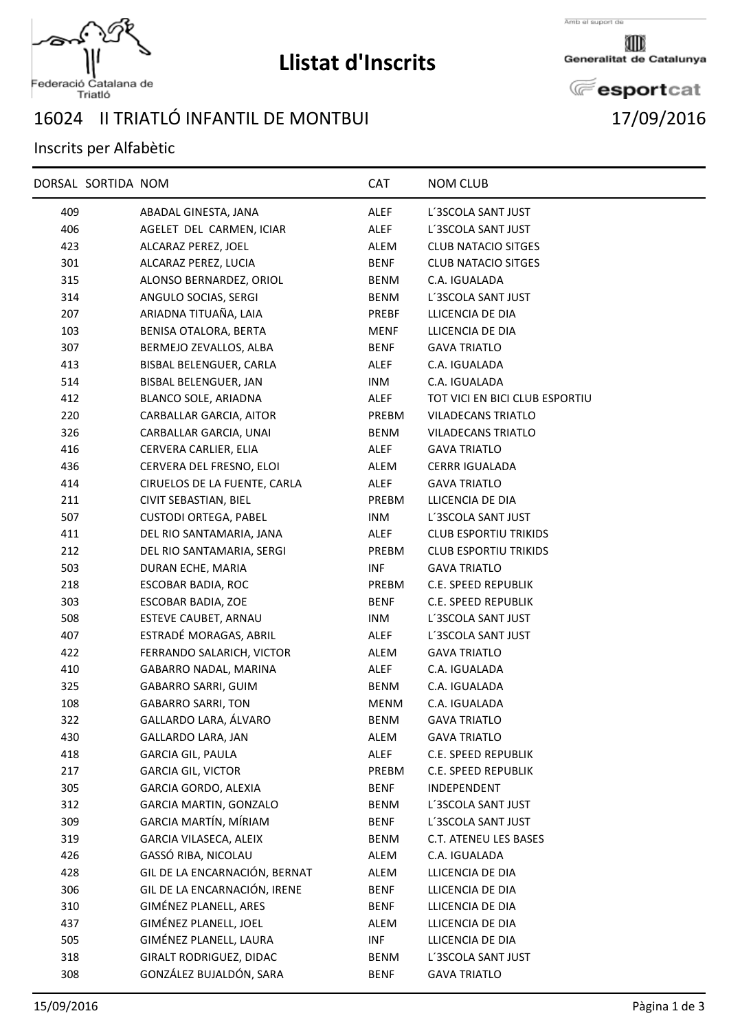

## **Llistat d'Inscrits**

Amb el suport de

Generalitat de Catalunya

**E**esportcat

## Federació Catalana de<br>Triatló

## 16024 II TRIATLÓ INFANTIL DE MONTBUI 17/09/2016

## Inscrits per Alfabètic

|            | DORSAL SORTIDA NOM |                                                               | <b>CAT</b>          | <b>NOM CLUB</b>                      |
|------------|--------------------|---------------------------------------------------------------|---------------------|--------------------------------------|
| 409        |                    | ABADAL GINESTA, JANA                                          | ALEF                | L'3SCOLA SANT JUST                   |
| 406        |                    | AGELET DEL CARMEN, ICIAR                                      | ALEF                | L'3SCOLA SANT JUST                   |
| 423        |                    | ALCARAZ PEREZ, JOEL                                           | ALEM                | <b>CLUB NATACIO SITGES</b>           |
| 301        |                    | ALCARAZ PEREZ, LUCIA                                          | BENF                | <b>CLUB NATACIO SITGES</b>           |
| 315        |                    | ALONSO BERNARDEZ, ORIOL                                       | BENM                | C.A. IGUALADA                        |
| 314        |                    | ANGULO SOCIAS, SERGI                                          | BENM                | L'3SCOLA SANT JUST                   |
| 207        |                    | ARIADNA TITUAÑA, LAIA                                         | PREBF               | LLICENCIA DE DIA                     |
| 103        |                    | BENISA OTALORA, BERTA                                         | MENF                | LLICENCIA DE DIA                     |
| 307        |                    | BERMEJO ZEVALLOS, ALBA                                        | <b>BENF</b>         | <b>GAVA TRIATLO</b>                  |
| 413        |                    | BISBAL BELENGUER, CARLA                                       | ALEF                | C.A. IGUALADA                        |
| 514        |                    | BISBAL BELENGUER, JAN                                         | INM                 | C.A. IGUALADA                        |
| 412        |                    | BLANCO SOLE, ARIADNA                                          | ALEF                | TOT VICI EN BICI CLUB ESPORTIU       |
| 220        |                    | CARBALLAR GARCIA, AITOR                                       | PREBM               | <b>VILADECANS TRIATLO</b>            |
| 326        |                    | CARBALLAR GARCIA, UNAI                                        | BENM                | <b>VILADECANS TRIATLO</b>            |
| 416        |                    | CERVERA CARLIER, ELIA                                         | ALEF                | <b>GAVA TRIATLO</b>                  |
| 436        |                    | CERVERA DEL FRESNO, ELOI                                      | ALEM                | <b>CERRR IGUALADA</b>                |
| 414        |                    | CIRUELOS DE LA FUENTE, CARLA                                  | ALEF                | <b>GAVA TRIATLO</b>                  |
| 211        |                    | CIVIT SEBASTIAN, BIEL                                         | PREBM               | LLICENCIA DE DIA                     |
| 507        |                    | <b>CUSTODI ORTEGA, PABEL</b>                                  | INM                 | L'3SCOLA SANT JUST                   |
| 411        |                    | DEL RIO SANTAMARIA, JANA                                      | ALEF                | <b>CLUB ESPORTIU TRIKIDS</b>         |
| 212        |                    | DEL RIO SANTAMARIA, SERGI                                     | PREBM               | <b>CLUB ESPORTIU TRIKIDS</b>         |
| 503        |                    | DURAN ECHE, MARIA                                             | INF                 | <b>GAVA TRIATLO</b>                  |
| 218        |                    | ESCOBAR BADIA, ROC                                            | PREBM               | C.E. SPEED REPUBLIK                  |
| 303        |                    | ESCOBAR BADIA, ZOE                                            | BENF                | C.E. SPEED REPUBLIK                  |
| 508        |                    | ESTEVE CAUBET, ARNAU                                          | INM                 | L'3SCOLA SANT JUST                   |
| 407        |                    | ESTRADÉ MORAGAS, ABRIL                                        | ALEF                | L'3SCOLA SANT JUST                   |
| 422        |                    | FERRANDO SALARICH, VICTOR                                     | ALEM                | <b>GAVA TRIATLO</b>                  |
| 410        |                    | GABARRO NADAL, MARINA                                         | ALEF                | C.A. IGUALADA                        |
| 325        |                    | GABARRO SARRI, GUIM                                           | BENM                | C.A. IGUALADA                        |
| 108        |                    | <b>GABARRO SARRI, TON</b>                                     | MENM                | C.A. IGUALADA                        |
| 322        |                    | GALLARDO LARA, ÁLVARO                                         | BENM                | <b>GAVA TRIATLO</b>                  |
| 430        |                    | GALLARDO LARA, JAN                                            | ALEM                | <b>GAVA TRIATLO</b>                  |
| 418        |                    | <b>GARCIA GIL, PAULA</b>                                      | ALEF                | C.E. SPEED REPUBLIK                  |
| 217        |                    | <b>GARCIA GIL, VICTOR</b>                                     | PREBM               | C.E. SPEED REPUBLIK                  |
| 305        |                    | GARCIA GORDO, ALEXIA                                          | <b>BENF</b>         | INDEPENDENT                          |
| 312        |                    | GARCIA MARTIN, GONZALO                                        | BENM                | L'3SCOLA SANT JUST                   |
| 309        |                    | GARCIA MARTÍN, MÍRIAM                                         | <b>BENF</b>         | L'3SCOLA SANT JUST                   |
| 319        |                    | GARCIA VILASECA, ALEIX                                        | <b>BENM</b>         | C.T. ATENEU LES BASES                |
| 426        |                    | GASSÓ RIBA, NICOLAU                                           | ALEM                | C.A. IGUALADA                        |
| 428        |                    | GIL DE LA ENCARNACIÓN, BERNAT<br>GIL DE LA ENCARNACIÓN, IRENE | ALEM                | LLICENCIA DE DIA                     |
| 306        |                    | GIMÉNEZ PLANELL, ARES                                         | <b>BENF</b>         | LLICENCIA DE DIA                     |
| 310<br>437 |                    | GIMÉNEZ PLANELL, JOEL                                         | <b>BENF</b><br>ALEM | LLICENCIA DE DIA<br>LLICENCIA DE DIA |
| 505        |                    | GIMÉNEZ PLANELL, LAURA                                        | <b>INF</b>          | LLICENCIA DE DIA                     |
| 318        |                    | GIRALT RODRIGUEZ, DIDAC                                       | BENM                | L'3SCOLA SANT JUST                   |
| 308        |                    | GONZÁLEZ BUJALDÓN, SARA                                       | <b>BENF</b>         | <b>GAVA TRIATLO</b>                  |
|            |                    |                                                               |                     |                                      |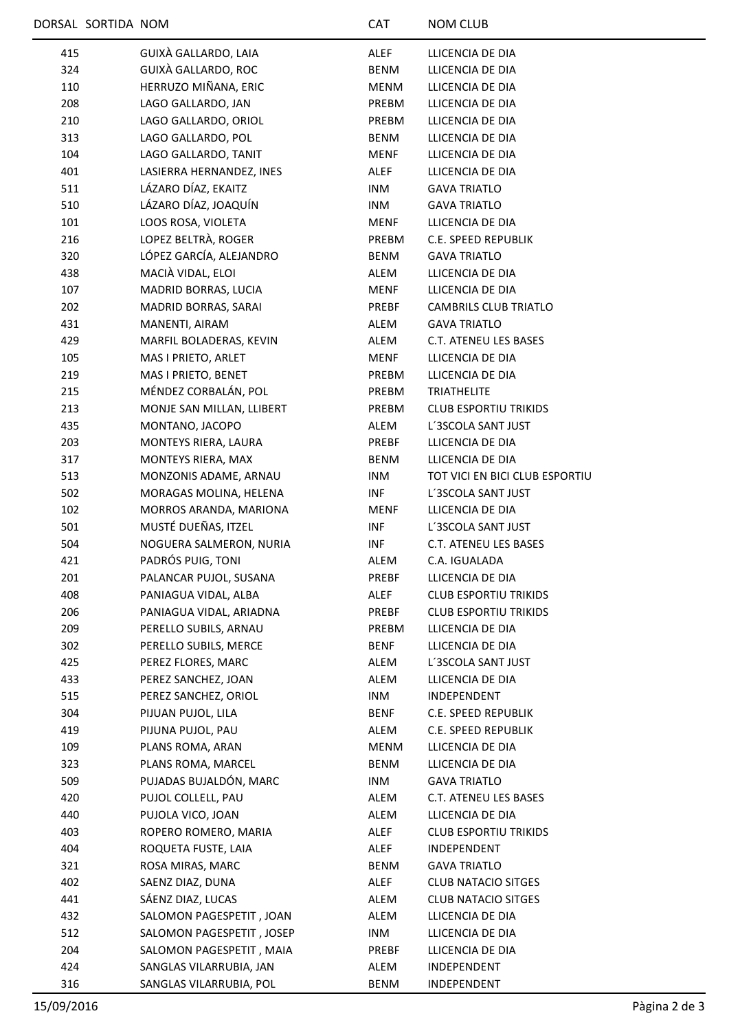|     | DORSAL SORTIDA NOM |                           | <b>CAT</b>  | <b>NOM CLUB</b>                |
|-----|--------------------|---------------------------|-------------|--------------------------------|
| 415 |                    | GUIXÀ GALLARDO, LAIA      | <b>ALEF</b> | LLICENCIA DE DIA               |
| 324 |                    | GUIXÀ GALLARDO, ROC       | BENM        | LLICENCIA DE DIA               |
| 110 |                    | HERRUZO MIÑANA, ERIC      | MENM        | LLICENCIA DE DIA               |
| 208 |                    | LAGO GALLARDO, JAN        | PREBM       | LLICENCIA DE DIA               |
| 210 |                    | LAGO GALLARDO, ORIOL      | PREBM       | LLICENCIA DE DIA               |
| 313 |                    | LAGO GALLARDO, POL        | BENM        | LLICENCIA DE DIA               |
| 104 |                    | LAGO GALLARDO, TANIT      | MENF        | LLICENCIA DE DIA               |
| 401 |                    | LASIERRA HERNANDEZ, INES  | ALEF        | LLICENCIA DE DIA               |
| 511 |                    | LÁZARO DÍAZ, EKAITZ       | <b>INM</b>  | <b>GAVA TRIATLO</b>            |
| 510 |                    | LÁZARO DÍAZ, JOAQUÍN      | INM         | <b>GAVA TRIATLO</b>            |
| 101 |                    | LOOS ROSA, VIOLETA        | MENF        | LLICENCIA DE DIA               |
| 216 |                    | LOPEZ BELTRÀ, ROGER       | PREBM       | C.E. SPEED REPUBLIK            |
| 320 |                    | LÓPEZ GARCÍA, ALEJANDRO   | <b>BENM</b> | <b>GAVA TRIATLO</b>            |
| 438 |                    | MACIÀ VIDAL, ELOI         | ALEM        | LLICENCIA DE DIA               |
| 107 |                    | MADRID BORRAS, LUCIA      | MENF        | LLICENCIA DE DIA               |
| 202 |                    | MADRID BORRAS, SARAI      | PREBF       | <b>CAMBRILS CLUB TRIATLO</b>   |
| 431 |                    | MANENTI, AIRAM            | ALEM        | <b>GAVA TRIATLO</b>            |
| 429 |                    | MARFIL BOLADERAS, KEVIN   | ALEM        | C.T. ATENEU LES BASES          |
| 105 |                    | MAS I PRIETO, ARLET       | MENF        | LLICENCIA DE DIA               |
| 219 |                    | MAS I PRIETO, BENET       | PREBM       | LLICENCIA DE DIA               |
| 215 |                    | MÉNDEZ CORBALÁN, POL      | PREBM       | <b>TRIATHELITE</b>             |
| 213 |                    | MONJE SAN MILLAN, LLIBERT | PREBM       | <b>CLUB ESPORTIU TRIKIDS</b>   |
| 435 |                    | MONTANO, JACOPO           | ALEM        | L'3SCOLA SANT JUST             |
| 203 |                    | MONTEYS RIERA, LAURA      | PREBF       | LLICENCIA DE DIA               |
| 317 |                    | MONTEYS RIERA, MAX        | BENM        | LLICENCIA DE DIA               |
| 513 |                    | MONZONIS ADAME, ARNAU     | INM         | TOT VICI EN BICI CLUB ESPORTIU |
| 502 |                    | MORAGAS MOLINA, HELENA    | <b>INF</b>  | L'3SCOLA SANT JUST             |
| 102 |                    | MORROS ARANDA, MARIONA    | MENF        | LLICENCIA DE DIA               |
| 501 |                    | MUSTÉ DUEÑAS, ITZEL       | INF         | L'3SCOLA SANT JUST             |
| 504 |                    | NOGUERA SALMERON, NURIA   | <b>INF</b>  | <b>C.T. ATENEU LES BASES</b>   |
| 421 |                    | PADRÓS PUIG, TONI         | ALEM        | C.A. IGUALADA                  |
| 201 |                    | PALANCAR PUJOL, SUSANA    | PREBF       | LLICENCIA DE DIA               |
| 408 |                    | PANIAGUA VIDAL, ALBA      | ALEF        | <b>CLUB ESPORTIU TRIKIDS</b>   |
| 206 |                    | PANIAGUA VIDAL, ARIADNA   | PREBF       | <b>CLUB ESPORTIU TRIKIDS</b>   |
| 209 |                    | PERELLO SUBILS, ARNAU     | PREBM       | LLICENCIA DE DIA               |
| 302 |                    | PERELLO SUBILS, MERCE     | BENF        | LLICENCIA DE DIA               |
| 425 |                    | PEREZ FLORES, MARC        | ALEM        | L'3SCOLA SANT JUST             |
| 433 |                    | PEREZ SANCHEZ, JOAN       | ALEM        | LLICENCIA DE DIA               |
| 515 |                    | PEREZ SANCHEZ, ORIOL      | INM         | INDEPENDENT                    |
| 304 |                    | PIJUAN PUJOL, LILA        | BENF        | C.E. SPEED REPUBLIK            |
| 419 |                    | PIJUNA PUJOL, PAU         | ALEM        | C.E. SPEED REPUBLIK            |
| 109 |                    | PLANS ROMA, ARAN          | MENM        | LLICENCIA DE DIA               |
| 323 |                    | PLANS ROMA, MARCEL        | BENM        | LLICENCIA DE DIA               |
| 509 |                    | PUJADAS BUJALDÓN, MARC    | INM         | <b>GAVA TRIATLO</b>            |
| 420 |                    | PUJOL COLLELL, PAU        | ALEM        | C.T. ATENEU LES BASES          |
| 440 |                    | PUJOLA VICO, JOAN         | ALEM        | LLICENCIA DE DIA               |
| 403 |                    | ROPERO ROMERO, MARIA      | ALEF        | <b>CLUB ESPORTIU TRIKIDS</b>   |
| 404 |                    | ROQUETA FUSTE, LAIA       | ALEF        | INDEPENDENT                    |
| 321 |                    | ROSA MIRAS, MARC          | BENM        | <b>GAVA TRIATLO</b>            |
| 402 |                    | SAENZ DIAZ, DUNA          | ALEF        | <b>CLUB NATACIO SITGES</b>     |
| 441 |                    | SÁENZ DIAZ, LUCAS         | ALEM        | <b>CLUB NATACIO SITGES</b>     |
| 432 |                    | SALOMON PAGESPETIT, JOAN  | ALEM        | LLICENCIA DE DIA               |
| 512 |                    | SALOMON PAGESPETIT, JOSEP | INM         | LLICENCIA DE DIA               |
| 204 |                    | SALOMON PAGESPETIT, MAIA  | PREBF       | LLICENCIA DE DIA               |
| 424 |                    | SANGLAS VILARRUBIA, JAN   | ALEM        | INDEPENDENT                    |
| 316 |                    | SANGLAS VILARRUBIA, POL   | BENM        | INDEPENDENT                    |